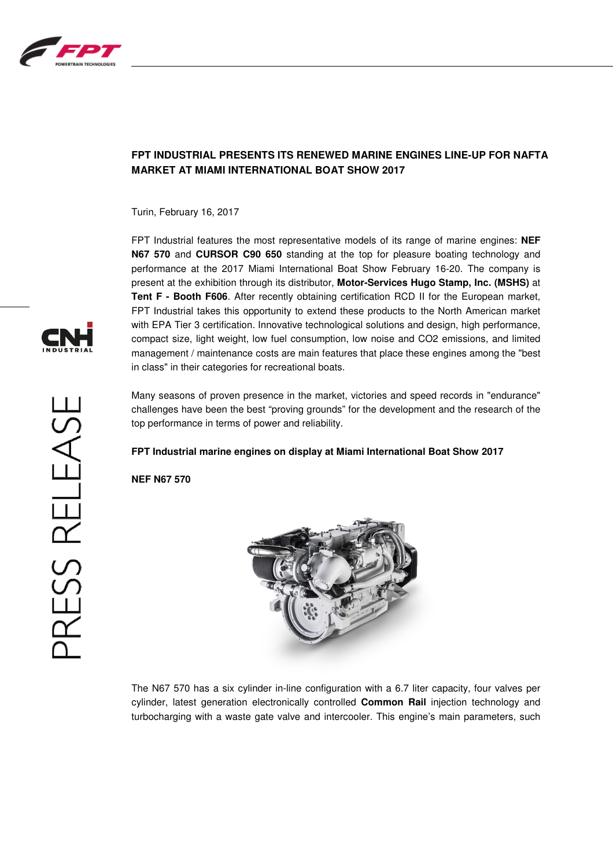

# **FPT INDUSTRIAL PRESENTS ITS RENEWED MARINE ENGINES LINE-UP FOR NAFTA MARKET AT MIAMI INTERNATIONAL BOAT SHOW 2017**

Turin, February 16, 2017

FPT Industrial features the most representative models of its range of marine engines: **NEF N67 570** and **CURSOR C90 650** standing at the top for pleasure boating technology and performance at the 2017 Miami International Boat Show February 16-20. The company is present at the exhibition through its distributor, **Motor-Services Hugo Stamp, Inc. (MSHS)** at **Tent F - Booth F606**. After recently obtaining certification RCD II for the European market, FPT Industrial takes this opportunity to extend these products to the North American market with EPA Tier 3 certification. Innovative technological solutions and design, high performance, compact size, light weight, low fuel consumption, low noise and CO2 emissions, and limited management / maintenance costs are main features that place these engines among the "best in class" in their categories for recreational boats.

Many seasons of proven presence in the market, victories and speed records in "endurance" challenges have been the best "proving grounds" for the development and the research of the top performance in terms of power and reliability.

## **FPT Industrial marine engines on display at Miami International Boat Show 2017**

**NEF N67 570** 



The N67 570 has a six cylinder in-line configuration with a 6.7 liter capacity, four valves per cylinder, latest generation electronically controlled **Common Rail** injection technology and turbocharging with a waste gate valve and intercooler. This engine's main parameters, such

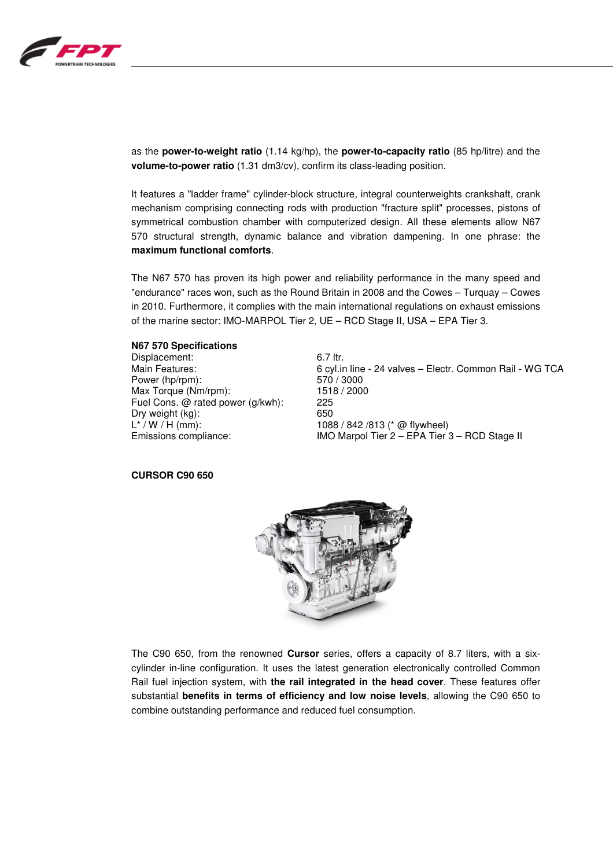

as the **power-to-weight ratio** (1.14 kg/hp), the **power-to-capacity ratio** (85 hp/litre) and the **volume-to-power ratio** (1.31 dm3/cv), confirm its class-leading position.

It features a "ladder frame" cylinder-block structure, integral counterweights crankshaft, crank mechanism comprising connecting rods with production "fracture split" processes, pistons of symmetrical combustion chamber with computerized design. All these elements allow N67 570 structural strength, dynamic balance and vibration dampening. In one phrase: the **maximum functional comforts**.

The N67 570 has proven its high power and reliability performance in the many speed and "endurance" races won, such as the Round Britain in 2008 and the Cowes – Turquay – Cowes in 2010. Furthermore, it complies with the main international regulations on exhaust emissions of the marine sector: IMO-MARPOL Tier 2, UE – RCD Stage II, USA – EPA Tier 3.

#### **N67 570 Specifications**

Displacement: 6.7 ltr.<br>
Main Features: 6 cylin Power (hp/rpm): 570 / 3000 Max Torque (Nm/rpm): 1518 / 2000 Fuel Cons. @ rated power (g/kwh): 225 Dry weight (kg): 650  $L^* / W / H$  (mm): 1088 / 842 /813 (\* @ flywheel)

6 cyl.in line - 24 valves – Electr. Common Rail - WG TCA Emissions compliance: IMO Marpol Tier 2 – EPA Tier 3 – RCD Stage II

#### **CURSOR C90 650**



The C90 650, from the renowned **Cursor** series, offers a capacity of 8.7 liters, with a sixcylinder in-line configuration. It uses the latest generation electronically controlled Common Rail fuel injection system, with **the rail integrated in the head cover**. These features offer substantial **benefits in terms of efficiency and low noise levels**, allowing the C90 650 to combine outstanding performance and reduced fuel consumption.